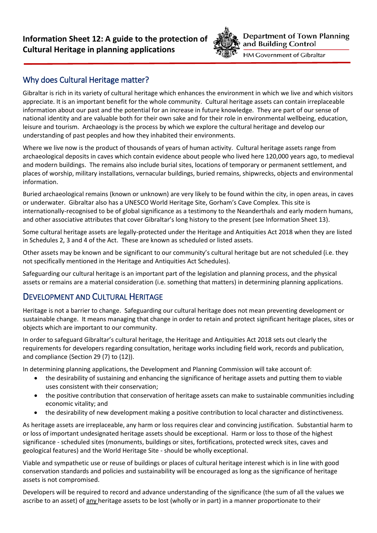

**Department of Town Planning** and Building Control

HM Government of Gibraltar

## Why does Cultural Heritage matter?

Gibraltar is rich in its variety of cultural heritage which enhances the environment in which we live and which visitors appreciate. It is an important benefit for the whole community. Cultural heritage assets can contain irreplaceable information about our past and the potential for an increase in future knowledge. They are part of our sense of national identity and are valuable both for their own sake and for their role in environmental wellbeing, education, leisure and tourism. Archaeology is the process by which we explore the cultural heritage and develop our understanding of past peoples and how they inhabited their environments.

Where we live now is the product of thousands of years of human activity. Cultural heritage assets range from archaeological deposits in caves which contain evidence about people who lived here 120,000 years ago, to medieval and modern buildings. The remains also include burial sites, locations of temporary or permanent settlement, and places of worship, military installations, vernacular buildings, buried remains, shipwrecks, objects and environmental information.

Buried archaeological remains (known or unknown) are very likely to be found within the city, in open areas, in caves or underwater. Gibraltar also has a UNESCO World Heritage Site, Gorham's Cave Complex. This site is internationally-recognised to be of global significance as a testimony to the Neanderthals and early modern humans, and other associative attributes that cover Gibraltar's long history to the present (see Information Sheet 13).

Some cultural heritage assets are legally-protected under the Heritage and Antiquities Act 2018 when they are listed in Schedules 2, 3 and 4 of the Act. These are known as scheduled or listed assets.

Other assets may be known and be significant to our community's cultural heritage but are not scheduled (i.e. they not specifically mentioned in the Heritage and Antiquities Act Schedules).

Safeguarding our cultural heritage is an important part of the legislation and planning process, and the physical assets or remains are a material consideration (i.e. something that matters) in determining planning applications.

# DEVELOPMENT AND CULTURAL HERITAGE

Heritage is not a barrier to change. Safeguarding our cultural heritage does not mean preventing development or sustainable change. It means managing that change in order to retain and protect significant heritage places, sites or objects which are important to our community.

In order to safeguard Gibraltar's cultural heritage, the Heritage and Antiquities Act 2018 sets out clearly the requirements for developers regarding consultation, heritage works including field work, records and publication, and compliance (Section 29 (7) to (12)).

In determining planning applications, the Development and Planning Commission will take account of:

- the desirability of sustaining and enhancing the significance of heritage assets and putting them to viable uses consistent with their conservation;
- the positive contribution that conservation of heritage assets can make to sustainable communities including economic vitality; and
- the desirability of new development making a positive contribution to local character and distinctiveness.

As heritage assets are irreplaceable, any harm or loss requires clear and convincing justification. Substantial harm to or loss of important undesignated heritage assets should be exceptional. Harm or loss to those of the highest significance - scheduled sites (monuments, buildings or sites, fortifications, protected wreck sites, caves and geological features) and the World Heritage Site - should be wholly exceptional.

Viable and sympathetic use or reuse of buildings or places of cultural heritage interest which is in line with good conservation standards and policies and sustainability will be encouraged as long as the significance of heritage assets is not compromised.

Developers will be required to record and advance understanding of the significance (the sum of all the values we ascribe to an asset) of any heritage assets to be lost (wholly or in part) in a manner proportionate to their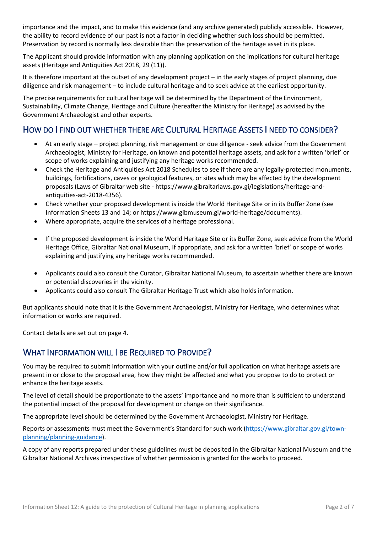importance and the impact, and to make this evidence (and any archive generated) publicly accessible. However, the ability to record evidence of our past is not a factor in deciding whether such loss should be permitted. Preservation by record is normally less desirable than the preservation of the heritage asset in its place.

The Applicant should provide information with any planning application on the implications for cultural heritage assets (Heritage and Antiquities Act 2018, 29 (11)).

It is therefore important at the outset of any development project – in the early stages of project planning, due diligence and risk management – to include cultural heritage and to seek advice at the earliest opportunity.

The precise requirements for cultural heritage will be determined by the Department of the Environment, Sustainability, Climate Change, Heritage and Culture (hereafter the Ministry for Heritage) as advised by the Government Archaeologist and other experts.

### HOW DO I FIND OUT WHETHER THERE ARE CULTURAL HERITAGE ASSETS I NEED TO CONSIDER?

- At an early stage project planning, risk management or due diligence seek advice from the Government Archaeologist, Ministry for Heritage, on known and potential heritage assets, and ask for a written 'brief' or scope of works explaining and justifying any heritage works recommended.
- Check the Heritage and Antiquities Act 2018 Schedules to see if there are any legally-protected monuments, buildings, fortifications, caves or geological features, or sites which may be affected by the development proposals (Laws of Gibraltar web site - https://www.gibraltarlaws.gov.gi/legislations/heritage-andantiquities-act-2018-4356).
- Check whether your proposed development is inside the World Heritage Site or in its Buffer Zone (see Information Sheets 13 and 14; or https://www.gibmuseum.gi/world-heritage/documents).
- Where appropriate, acquire the services of a heritage professional.
- If the proposed development is inside the World Heritage Site or its Buffer Zone, seek advice from the World Heritage Office, Gibraltar National Museum, if appropriate, and ask for a written 'brief' or scope of works explaining and justifying any heritage works recommended.
- Applicants could also consult the Curator, Gibraltar National Museum, to ascertain whether there are known or potential discoveries in the vicinity.
- Applicants could also consult The Gibraltar Heritage Trust which also holds information.

But applicants should note that it is the Government Archaeologist, Ministry for Heritage, who determines what information or works are required.

Contact details are set out on page 4.

# WHAT INFORMATION WILL I BE REQUIRED TO PROVIDE?

You may be required to submit information with your outline and/or full application on what heritage assets are present in or close to the proposal area, how they might be affected and what you propose to do to protect or enhance the heritage assets.

The level of detail should be proportionate to the assets' importance and no more than is sufficient to understand the potential impact of the proposal for development or change on their significance.

The appropriate level should be determined by the Government Archaeologist, Ministry for Heritage.

Reports or assessments must meet the Government's Standard for such work [\(https://www.gibraltar.gov.gi/town](https://www.gibraltar.gov.gi/town-planning/planning-guidance)[planning/planning-guidance\)](https://www.gibraltar.gov.gi/town-planning/planning-guidance).

A copy of any reports prepared under these guidelines must be deposited in the Gibraltar National Museum and the Gibraltar National Archives irrespective of whether permission is granted for the works to proceed.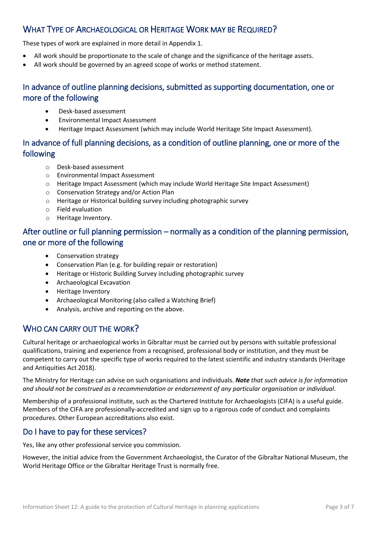# WHAT TYPE OF ARCHAEOLOGICAL OR HERITAGE WORK MAY BE REQUIRED?

These types of work are explained in more detail in Appendix 1.

- All work should be proportionate to the scale of change and the significance of the heritage assets.
- All work should be governed by an agreed scope of works or method statement.

### In advance of outline planning decisions, submitted as supporting documentation, one or more of the following

- Desk-based assessment
- Environmental Impact Assessment
- Heritage Impact Assessment (which may include World Heritage Site Impact Assessment).

### In advance of full planning decisions, as a condition of outline planning, one or more of the following

- o Desk-based assessment
- o Environmental Impact Assessment
- o Heritage Impact Assessment (which may include World Heritage Site Impact Assessment)
- o Conservation Strategy and/or Action Plan
- o Heritage or Historical building survey including photographic survey
- o Field evaluation
- o Heritage Inventory.

### After outline or full planning permission – normally as a condition of the planning permission, one or more of the following

- Conservation strategy
- Conservation Plan (e.g. for building repair or restoration)
- Heritage or Historic Building Survey including photographic survey
- Archaeological Excavation
- Heritage Inventory
- Archaeological Monitoring (also called a Watching Brief)
- Analysis, archive and reporting on the above.

### WHO CAN CARRY OUT THE WORK?

Cultural heritage or archaeological works in Gibraltar must be carried out by persons with suitable professional qualifications, training and experience from a recognised, professional body or institution, and they must be competent to carry out the specific type of works required to the latest scientific and industry standards (Heritage and Antiquities Act 2018).

The Ministry for Heritage can advise on such organisations and individuals. *Note that such advice is for information and should not be construed as a recommendation or endorsement of any particular organisation or individual*.

Membership of a professional institute, such as the Chartered Institute for Archaeologists (CIFA) is a useful guide. Members of the CIFA are professionally-accredited and sign up to a rigorous code of conduct and complaints procedures. Other European accreditations also exist.

### Do I have to pay for these services?

Yes, like any other professional service you commission.

However, the initial advice from the Government Archaeologist, the Curator of the Gibraltar National Museum, the World Heritage Office or the Gibraltar Heritage Trust is normally free.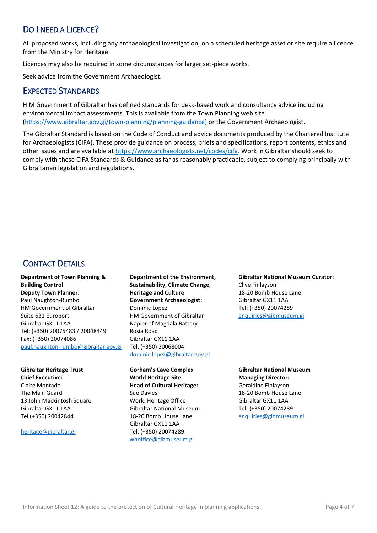# DO I NEED A LICENCE?

All proposed works, including any archaeological investigation, on a scheduled heritage asset or site require a licence from the Ministry for Heritage.

Licences may also be required in some circumstances for larger set-piece works.

Seek advice from the Government Archaeologist.

### EXPECTED STANDARDS

H M Government of Gibraltar has defined standards for desk-based work and consultancy advice including environmental impact assessments. This is available from the Town Planning web site [\(https://www.gibraltar.gov.gi/town-planning/planning-guidance\)](https://www.gibraltar.gov.gi/town-planning/planning-guidance)) or the Government Archaeologist.

The Gibraltar Standard is based on the Code of Conduct and advice documents produced by the Chartered Institute for Archaeologists (CIFA). These provide guidance on process, briefs and specifications, report contents, ethics and other issues and are available at [https://www.archaeologists.net/codes/cifa.](https://www.archaeologists.net/codes/cifa) Work in Gibraltar should seek to comply with these CIFA Standards & Guidance as far as reasonably practicable, subject to complying principally with Gibraltarian legislation and regulations.

# CONTACT DETAILS

#### **Department of Town Planning & Building Control Deputy Town Planner:**  Paul Naughton-Rumbo HM Government of Gibraltar Suite 631 Europort Gibraltar GX11 1AA Tel: (+350) 20075483 / 20048449 Fax: (+350) 20074086

[paul.naughton-rumbo@gibraltar.gov.gi](mailto:paul.naughton-rumbo@gibraltar.gov.gi)

**Gibraltar Heritage Trust Chief Executive:** Claire Montado The Main Guard 13 John Mackintosh Square Gibraltar GX11 1AA Tel (+350) 20042844

[heritage@gibraltar.gi](mailto:heritage@gibraltar.gi)

**Department of the Environment, Sustainability, Climate Change, Heritage and Culture Government Archaeologist:**  Dominic Lopez HM Government of Gibraltar Napier of Magdala Battery Rosia Road Gibraltar GX11 1AA Tel: (+350) 20068004 [dominic.lopez@gibraltar.gov.gi](mailto:dominic.lopez@gibraltar.gov.gi)

**Gorham's Cave Complex World Heritage Site Head of Cultural Heritage:**  Sue Davies World Heritage Office Gibraltar National Museum 18-20 Bomb House Lane Gibraltar GX11 1AA Tel: (+350) 20074289 [whoffice@gibmuseum.gi](mailto:whoffice@gibmuseum.gi)

**Gibraltar National Museum Curator:** Clive Finlayson 18-20 Bomb House Lane Gibraltar GX11 1AA Tel: (+350) 20074289 [enquiries@gibmuseum.gi](mailto:enquiries@gibmuseum.gi)

**Gibraltar National Museum Managing Director:**  Geraldine Finlayson 18-20 Bomb House Lane Gibraltar GX11 1AA Tel: (+350) 20074289 [enquiries@gibmuseum.gi](mailto:enquiries@gibmuseum.gi)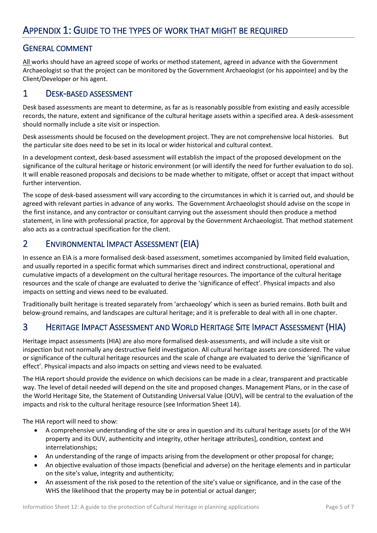### GENERAL COMMENT

All works should have an agreed scope of works or method statement, agreed in advance with the Government Archaeologist so that the project can be monitored by the Government Archaeologist (or his appointee) and by the Client/Developer or his agent.

### 1 DESK-BASED ASSESSMENT

Desk based assessments are meant to determine, as far as is reasonably possible from existing and easily accessible records, the nature, extent and significance of the cultural heritage assets within a specified area. A desk-assessment should normally include a site visit or inspection.

Desk assessments should be focused on the development project. They are not comprehensive local histories. But the particular site does need to be set in its local or wider historical and cultural context.

In a development context, desk-based assessment will establish the impact of the proposed development on the significance of the cultural heritage or historic environment (or will identify the need for further evaluation to do so). It will enable reasoned proposals and decisions to be made whether to mitigate, offset or accept that impact without further intervention.

The scope of desk-based assessment will vary according to the circumstances in which it is carried out, and should be agreed with relevant parties in advance of any works. The Government Archaeologist should advise on the scope in the first instance, and any contractor or consultant carrying out the assessment should then produce a method statement, in line with professional practice, for approval by the Government Archaeologist. That method statement also acts as a contractual specification for the client.

# 2 ENVIRONMENTAL IMPACT ASSESSMENT (EIA)

In essence an EIA is a more formalised desk-based assessment, sometimes accompanied by limited field evaluation, and usually reported in a specific format which summarises direct and indirect constructional, operational and cumulative impacts of a development on the cultural heritage resources. The importance of the cultural heritage resources and the scale of change are evaluated to derive the 'significance of effect'. Physical impacts and also impacts on setting and views need to be evaluated.

Traditionally built heritage is treated separately from 'archaeology' which is seen as buried remains. Both built and below-ground remains, and landscapes are cultural heritage; and it is preferable to deal with all in one chapter.

# 3 HERITAGE IMPACT ASSESSMENT AND WORLD HERITAGE SITE IMPACT ASSESSMENT (HIA)

Heritage impact assessments (HIA) are also more formalised desk-assessments, and will include a site visit or inspection but not normally any destructive field investigation. All cultural heritage assets are considered. The value or significance of the cultural heritage resources and the scale of change are evaluated to derive the 'significance of effect'. Physical impacts and also impacts on setting and views need to be evaluated.

The HIA report should provide the evidence on which decisions can be made in a clear, transparent and practicable way. The level of detail needed will depend on the site and proposed changes. Management Plans, or in the case of the World Heritage Site, the Statement of Outstanding Universal Value (OUV), will be central to the evaluation of the impacts and risk to the cultural heritage resource (see Information Sheet 14).

The HIA report will need to show:

- A comprehensive understanding of the site or area in question and its cultural heritage assets [or of the WH property and its OUV, authenticity and integrity, other heritage attributes], condition, context and interrelationships;
- An understanding of the range of impacts arising from the development or other proposal for change;
- An objective evaluation of those impacts (beneficial and adverse) on the heritage elements and in particular on the site's value, integrity and authenticity;
- An assessment of the risk posed to the retention of the site's value or significance, and in the case of the WHS the likelihood that the property may be in potential or actual danger;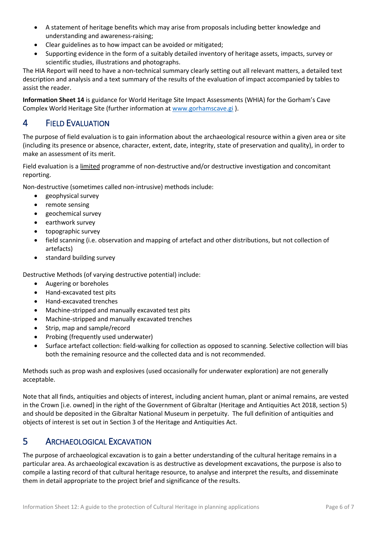- A statement of heritage benefits which may arise from proposals including better knowledge and understanding and awareness-raising;
- Clear guidelines as to how impact can be avoided or mitigated;
- Supporting evidence in the form of a suitably detailed inventory of heritage assets, impacts, survey or scientific studies, illustrations and photographs.

The HIA Report will need to have a non-technical summary clearly setting out all relevant matters, a detailed text description and analysis and a text summary of the results of the evaluation of impact accompanied by tables to assist the reader.

**Information Sheet 14** is guidance for World Heritage Site Impact Assessments (WHIA) for the Gorham's Cave Complex World Heritage Site (further information at [www.gorhamscave.gi](http://www.gorhamscave.gi/) ).

# 4 FIELD EVALUATION

The purpose of field evaluation is to gain information about the archaeological resource within a given area or site (including its presence or absence, character, extent, date, integrity, state of preservation and quality), in order to make an assessment of its merit.

Field evaluation is a limited programme of non-destructive and/or destructive investigation and concomitant reporting.

Non-destructive (sometimes called non-intrusive) methods include:

- geophysical survey
- remote sensing
- geochemical survey
- earthwork survey
- topographic survey
- field scanning (i.e. observation and mapping of artefact and other distributions, but not collection of artefacts)
- standard building survey

Destructive Methods (of varying destructive potential) include:

- Augering or boreholes
- Hand-excavated test pits
- Hand-excavated trenches
- Machine-stripped and manually excavated test pits
- Machine-stripped and manually excavated trenches
- Strip, map and sample/record
- Probing (frequently used underwater)
- Surface artefact collection: field-walking for collection as opposed to scanning. Selective collection will bias both the remaining resource and the collected data and is not recommended.

Methods such as prop wash and explosives (used occasionally for underwater exploration) are not generally acceptable.

Note that all finds, antiquities and objects of interest, including ancient human, plant or animal remains, are vested in the Crown [i.e. owned] in the right of the Government of Gibraltar (Heritage and Antiquities Act 2018, section 5) and should be deposited in the Gibraltar National Museum in perpetuity. The full definition of antiquities and objects of interest is set out in Section 3 of the Heritage and Antiquities Act.

# 5 ARCHAEOLOGICAL EXCAVATION

The purpose of archaeological excavation is to gain a better understanding of the cultural heritage remains in a particular area. As archaeological excavation is as destructive as development excavations, the purpose is also to compile a lasting record of that cultural heritage resource, to analyse and interpret the results, and disseminate them in detail appropriate to the project brief and significance of the results.